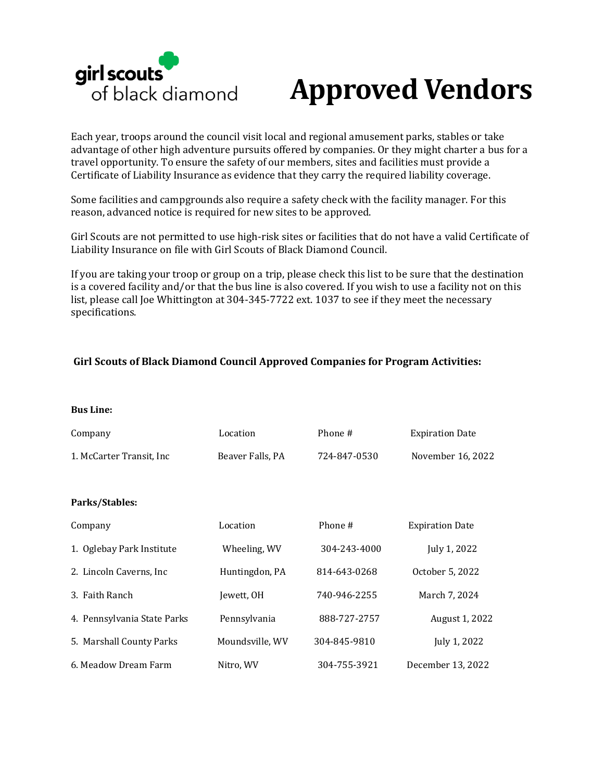

# **Approved Vendors**

Each year, troops around the council visit local and regional amusement parks, stables or take advantage of other high adventure pursuits offered by companies. Or they might charter a bus for a travel opportunity. To ensure the safety of our members, sites and facilities must provide a Certificate of Liability Insurance as evidence that they carry the required liability coverage.

Some facilities and campgrounds also require a safety check with the facility manager. For this reason, advanced notice is required for new sites to be approved.

Girl Scouts are not permitted to use high-risk sites or facilities that do not have a valid Certificate of Liability Insurance on file with Girl Scouts of Black Diamond Council.

If you are taking your troop or group on a trip, please check this list to be sure that the destination is a covered facility and/or that the bus line is also covered. If you wish to use a facility not on this list, please call Joe Whittington at 304-345-7722 ext. 1037 to see if they meet the necessary specifications.

#### **Girl Scouts of Black Diamond Council Approved Companies for Program Activities:**

**Bus Line:** 

| Company                     | Location         | Phone #      | <b>Expiration Date</b> |
|-----------------------------|------------------|--------------|------------------------|
| 1. McCarter Transit, Inc.   | Beaver Falls, PA | 724-847-0530 | November 16, 2022      |
|                             |                  |              |                        |
| Parks/Stables:              |                  |              |                        |
| Company                     | Location         | Phone #      | <b>Expiration Date</b> |
| 1. Oglebay Park Institute   | Wheeling, WV     | 304-243-4000 | July 1, 2022           |
| 2. Lincoln Caverns, Inc.    | Huntingdon, PA   | 814-643-0268 | October 5, 2022        |
| 3. Faith Ranch              | Iewett, OH       | 740-946-2255 | March 7, 2024          |
| 4. Pennsylvania State Parks | Pennsylvania     | 888-727-2757 | August 1, 2022         |
| 5. Marshall County Parks    | Moundsville, WV  | 304-845-9810 | July 1, 2022           |
| 6. Meadow Dream Farm        | Nitro, WV        | 304-755-3921 | December 13, 2022      |